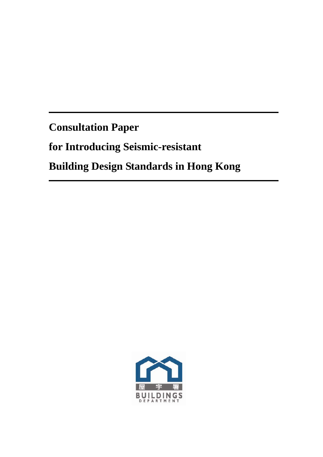**Consultation Paper** 

for Introducing Seismic-resistant

**Building Design Standards in Hong Kong** 

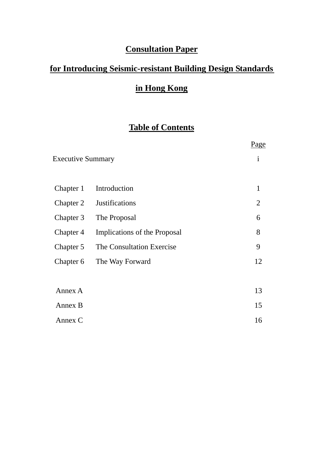# **Consultation Paper**

## **for Introducing Seismic-resistant Building Design Standards**

# **in Hong Kong**

## **Table of Contents**

|                          |                              | <u>Page</u> |
|--------------------------|------------------------------|-------------|
| <b>Executive Summary</b> | $\mathbf{i}$                 |             |
|                          |                              |             |
| Chapter 1                | Introduction                 | 1           |
| Chapter 2                | <b>Justifications</b>        | 2           |
| Chapter 3                | The Proposal                 | 6           |
| Chapter 4                | Implications of the Proposal | 8           |
| Chapter 5                | The Consultation Exercise    | 9           |
| Chapter 6                | The Way Forward              | 12          |
|                          |                              |             |
| Annex A                  |                              | 13          |
| Annex B                  |                              | 15          |
| Annex C                  |                              | 16          |
|                          |                              |             |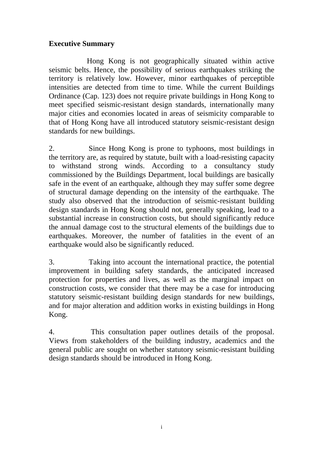#### **Executive Summary**

Hong Kong is not geographically situated within active seismic belts. Hence, the possibility of serious earthquakes striking the territory is relatively low. However, minor earthquakes of perceptible intensities are detected from time to time. While the current Buildings Ordinance (Cap. 123) does not require private buildings in Hong Kong to meet specified seismic-resistant design standards, internationally many major cities and economies located in areas of seismicity comparable to that of Hong Kong have all introduced statutory seismic-resistant design standards for new buildings.

2. Since Hong Kong is prone to typhoons, most buildings in the territory are, as required by statute, built with a load-resisting capacity to withstand strong winds. According to a consultancy study commissioned by the Buildings Department, local buildings are basically safe in the event of an earthquake, although they may suffer some degree of structural damage depending on the intensity of the earthquake. The study also observed that the introduction of seismic-resistant building design standards in Hong Kong should not, generally speaking, lead to a substantial increase in construction costs, but should significantly reduce the annual damage cost to the structural elements of the buildings due to earthquakes. Moreover, the number of fatalities in the event of an earthquake would also be significantly reduced.

3. Taking into account the international practice, the potential improvement in building safety standards, the anticipated increased protection for properties and lives, as well as the marginal impact on construction costs, we consider that there may be a case for introducing statutory seismic-resistant building design standards for new buildings, and for major alteration and addition works in existing buildings in Hong Kong.

4. This consultation paper outlines details of the proposal. Views from stakeholders of the building industry, academics and the general public are sought on whether statutory seismic-resistant building design standards should be introduced in Hong Kong.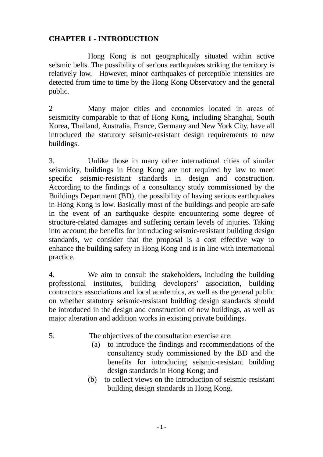### **CHAPTER 1 - INTRODUCTION**

 Hong Kong is not geographically situated within active seismic belts. The possibility of serious earthquakes striking the territory is relatively low. However, minor earthquakes of perceptible intensities are detected from time to time by the Hong Kong Observatory and the general public.

2 Many major cities and economies located in areas of seismicity comparable to that of Hong Kong, including Shanghai, South Korea, Thailand, Australia, France, Germany and New York City, have all introduced the statutory seismic-resistant design requirements to new buildings.

3. Unlike those in many other international cities of similar seismicity, buildings in Hong Kong are not required by law to meet specific seismic-resistant standards in design and construction. According to the findings of a consultancy study commissioned by the Buildings Department (BD), the possibility of having serious earthquakes in Hong Kong is low. Basically most of the buildings and people are safe in the event of an earthquake despite encountering some degree of structure-related damages and suffering certain levels of injuries. Taking into account the benefits for introducing seismic-resistant building design standards, we consider that the proposal is a cost effective way to enhance the building safety in Hong Kong and is in line with international practice.

4. We aim to consult the stakeholders, including the building professional institutes, building developers' association, building contractors associations and local academics, as well as the general public on whether statutory seismic-resistant building design standards should be introduced in the design and construction of new buildings, as well as major alteration and addition works in existing private buildings.

- 5. The objectives of the consultation exercise are:
	- (a) to introduce the findings and recommendations of the consultancy study commissioned by the BD and the benefits for introducing seismic-resistant building design standards in Hong Kong; and
	- (b) to collect views on the introduction of seismic-resistant building design standards in Hong Kong.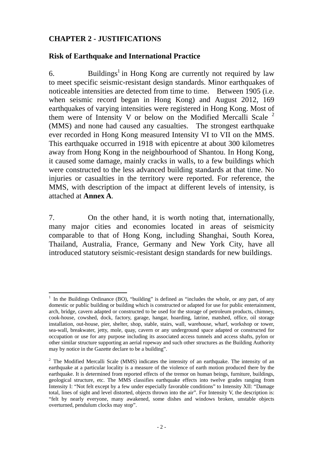## **CHAPTER 2 - JUSTIFICATIONS**

#### **Risk of Earthquake and International Practice**

6. Buildings<sup>1</sup> in Hong Kong are currently not required by law to meet specific seismic-resistant design standards. Minor earthquakes of noticeable intensities are detected from time to time. Between 1905 (i.e. when seismic record began in Hong Kong) and August 2012, 169 earthquakes of varying intensities were registered in Hong Kong. Most of them were of Intensity V or below on the Modified Mercalli Scale <sup>2</sup> (MMS) and none had caused any casualties. The strongest earthquake ever recorded in Hong Kong measured Intensity VI to VII on the MMS. This earthquake occurred in 1918 with epicentre at about 300 kilometres away from Hong Kong in the neighbourhood of Shantou. In Hong Kong, it caused some damage, mainly cracks in walls, to a few buildings which were constructed to the less advanced building standards at that time. No injuries or casualties in the territory were reported. For reference, the MMS, with description of the impact at different levels of intensity, is attached at **Annex A**.

7. On the other hand, it is worth noting that, internationally, many major cities and economies located in areas of seismicity comparable to that of Hong Kong, including Shanghai, South Korea, Thailand, Australia, France, Germany and New York City, have all introduced statutory seismic-resistant design standards for new buildings.

 $\overline{a}$ <sup>1</sup> In the Buildings Ordinance (BO), "building" is defined as "includes the whole, or any part, of any domestic or public building or building which is constructed or adapted for use for public entertainment, arch, bridge, cavern adapted or constructed to be used for the storage of petroleum products, chimney, cook-house, cowshed, dock, factory, garage, hangar, hoarding, latrine, matshed, office, oil storage installation, out-house, pier, shelter, shop, stable, stairs, wall, warehouse, wharf, workshop or tower, sea-wall, breakwater, jetty, mole, quay, cavern or any underground space adapted or constructed for occupation or use for any purpose including its associated access tunnels and access shafts, pylon or other similar structure supporting an aerial ropeway and such other structures as the Building Authority may by notice in the Gazette declare to be a building".

 $2$  The Modified Mercalli Scale (MMS) indicates the intensity of an earthquake. The intensity of an earthquake at a particular locality is a measure of the violence of earth motion produced there by the earthquake. It is determined from reported effects of the tremor on human beings, furniture, buildings, geological structure, etc. The MMS classifies earthquake effects into twelve grades ranging from Intensity I: "Not felt except by a few under especially favorable conditions" to Intensity XII: "Damage total, lines of sight and level distorted, objects thrown into the air". For Intensity V, the description is: "felt by nearly everyone, many awakened, some dishes and windows broken, unstable objects overturned, pendulum clocks may stop".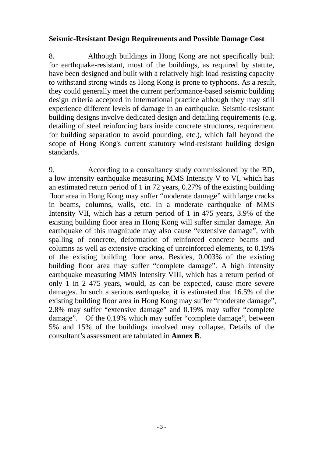#### **Seismic-Resistant Design Requirements and Possible Damage Cost**

8. Although buildings in Hong Kong are not specifically built for earthquake-resistant, most of the buildings, as required by statute, have been designed and built with a relatively high load-resisting capacity to withstand strong winds as Hong Kong is prone to typhoons. As a result, they could generally meet the current performance-based seismic building design criteria accepted in international practice although they may still experience different levels of damage in an earthquake. Seismic-resistant building designs involve dedicated design and detailing requirements (e.g. detailing of steel reinforcing bars inside concrete structures, requirement for building separation to avoid pounding, etc.), which fall beyond the scope of Hong Kong's current statutory wind-resistant building design standards.

9. According to a consultancy study commissioned by the BD, a low intensity earthquake measuring MMS Intensity V to VI, which has an estimated return period of 1 in 72 years, 0.27% of the existing building floor area in Hong Kong may suffer "moderate damage" with large cracks in beams, columns, walls, etc. In a moderate earthquake of MMS Intensity VII, which has a return period of 1 in 475 years, 3.9% of the existing building floor area in Hong Kong will suffer similar damage. An earthquake of this magnitude may also cause "extensive damage", with spalling of concrete, deformation of reinforced concrete beams and columns as well as extensive cracking of unreinforced elements, to 0.19% of the existing building floor area. Besides, 0.003% of the existing building floor area may suffer "complete damage". A high intensity earthquake measuring MMS Intensity VIII, which has a return period of only 1 in 2 475 years, would, as can be expected, cause more severe damages. In such a serious earthquake, it is estimated that 16.5% of the existing building floor area in Hong Kong may suffer "moderate damage", 2.8% may suffer "extensive damage" and 0.19% may suffer "complete damage". Of the 0.19% which may suffer "complete damage", between 5% and 15% of the buildings involved may collapse. Details of the consultant's assessment are tabulated in **Annex B**.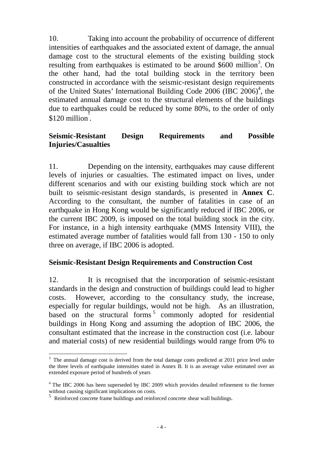10. Taking into account the probability of occurrence of different intensities of earthquakes and the associated extent of damage, the annual damage cost to the structural elements of the existing building stock resulting from earthquakes is estimated to be around  $$600$  million<sup>3</sup>. On the other hand, had the total building stock in the territory been constructed in accordance with the seismic-resistant design requirements of the United States' International Building Code  $2006$  (IBC  $2006$ )<sup>4</sup>, the estimated annual damage cost to the structural elements of the buildings due to earthquakes could be reduced by some 80%, to the order of only  $$120$  million<sup>3</sup>.

## **Seismic-Resistant Design Requirements and Possible Injuries/Casualties**

11. Depending on the intensity, earthquakes may cause different levels of injuries or casualties. The estimated impact on lives, under different scenarios and with our existing building stock which are not built to seismic-resistant design standards, is presented in **Annex C**. According to the consultant, the number of fatalities in case of an earthquake in Hong Kong would be significantly reduced if IBC 2006, or the current IBC 2009, is imposed on the total building stock in the city. For instance, in a high intensity earthquake (MMS Intensity VIII), the estimated average number of fatalities would fall from 130 - 150 to only three on average, if IBC 2006 is adopted.

#### **Seismic-Resistant Design Requirements and Construction Cost**

12. It is recognised that the incorporation of seismic-resistant standards in the design and construction of buildings could lead to higher costs. However, according to the consultancy study, the increase, especially for regular buildings, would not be high. As an illustration, based on the structural forms<sup>5</sup> commonly adopted for residential buildings in Hong Kong and assuming the adoption of IBC 2006, the consultant estimated that the increase in the construction cost (i.e. labour and material costs) of new residential buildings would range from 0% to

 $\overline{a}$ 

 $3$  The annual damage cost is derived from the total damage costs predicted at 2011 price level under the three levels of earthquake intensities stated in Annex B. It is an average value estimated over an extended exposure period of hundreds of years

<sup>&</sup>lt;sup>4</sup> The IBC 2006 has been superseded by IBC 2009 which provides detailed refinement to the former without causing significant implications on costs.

<sup>5</sup> Reinforced concrete frame buildings and reinforced concrete shear wall buildings.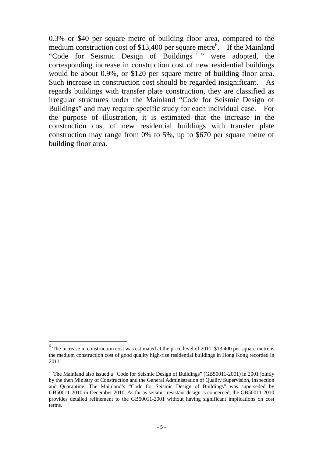0.3% or \$40 per square metre of building floor area, compared to the medium construction cost of \$13,400 per square metre<sup>6</sup>. If the Mainland "Code for Seismic Design of Buildings <sup>7</sup> " were adopted, the corresponding increase in construction cost of new residential buildings would be about 0.9%, or \$120 per square metre of building floor area. Such increase in construction cost should be regarded insignificant. As regards buildings with transfer plate construction, they are classified as irregular structures under the Mainland "Code for Seismic Design of Buildings" and may require specific study for each individual case. For the purpose of illustration, it is estimated that the increase in the construction cost of new residential buildings with transfer plate construction may range from 0% to 5%, up to \$670 per square metre of building floor area.

 $\overline{a}$ 

 $<sup>6</sup>$  The increase in construction cost was estimated at the price level of 2011. \$13,400 per square metre is</sup> the medium construction cost of good quality high-rise residential buildings in Hong Kong recorded in 2011

 $7$  The Mainland also issued a "Code for Seismic Design of Buildings" (GB50011-2001) in 2001 jointly by the then Ministry of Construction and the General Administration of Quality Supervision, Inspection and Quarantine. The Mainland's "Code for Seismic Design of Buildings" was superseded by GB50011-2010 in December 2010. As far as seismic-resistant design is concerned, the GB50011-2010 provides detailed refinement to the GB50011-2001 without having significant implications on cost terms.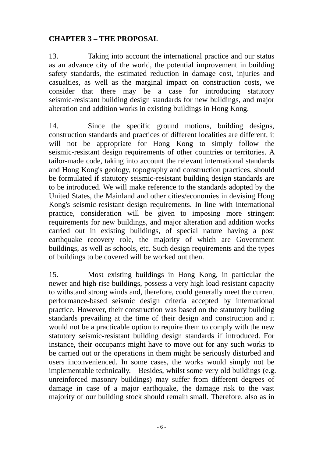## **CHAPTER 3 – THE PROPOSAL**

13. Taking into account the international practice and our status as an advance city of the world, the potential improvement in building safety standards, the estimated reduction in damage cost, injuries and casualties, as well as the marginal impact on construction costs, we consider that there may be a case for introducing statutory seismic-resistant building design standards for new buildings, and major alteration and addition works in existing buildings in Hong Kong.

14. Since the specific ground motions, building designs, construction standards and practices of different localities are different, it will not be appropriate for Hong Kong to simply follow the seismic-resistant design requirements of other countries or territories. A tailor-made code, taking into account the relevant international standards and Hong Kong's geology, topography and construction practices, should be formulated if statutory seismic-resistant building design standards are to be introduced. We will make reference to the standards adopted by the United States, the Mainland and other cities/economies in devising Hong Kong's seismic-resistant design requirements. In line with international practice, consideration will be given to imposing more stringent requirements for new buildings, and major alteration and addition works carried out in existing buildings, of special nature having a post earthquake recovery role, the majority of which are Government buildings, as well as schools, etc. Such design requirements and the types of buildings to be covered will be worked out then.

15. Most existing buildings in Hong Kong, in particular the newer and high-rise buildings, possess a very high load-resistant capacity to withstand strong winds and, therefore, could generally meet the current performance-based seismic design criteria accepted by international practice. However, their construction was based on the statutory building standards prevailing at the time of their design and construction and it would not be a practicable option to require them to comply with the new statutory seismic-resistant building design standards if introduced. For instance, their occupants might have to move out for any such works to be carried out or the operations in them might be seriously disturbed and users inconvenienced. In some cases, the works would simply not be implementable technically. Besides, whilst some very old buildings (e.g. unreinforced masonry buildings) may suffer from different degrees of damage in case of a major earthquake, the damage risk to the vast majority of our building stock should remain small. Therefore, also as in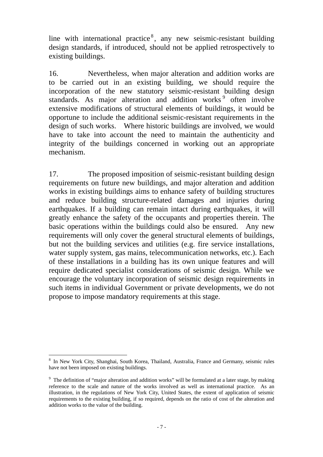line with international practice<sup>8</sup>, any new seismic-resistant building design standards, if introduced, should not be applied retrospectively to existing buildings.

16. Nevertheless, when major alteration and addition works are to be carried out in an existing building, we should require the incorporation of the new statutory seismic-resistant building design standards. As major alteration and addition works<sup>9</sup> often involve extensive modifications of structural elements of buildings, it would be opportune to include the additional seismic-resistant requirements in the design of such works. Where historic buildings are involved, we would have to take into account the need to maintain the authenticity and integrity of the buildings concerned in working out an appropriate mechanism.

17. The proposed imposition of seismic-resistant building design requirements on future new buildings, and major alteration and addition works in existing buildings aims to enhance safety of building structures and reduce building structure-related damages and injuries during earthquakes. If a building can remain intact during earthquakes, it will greatly enhance the safety of the occupants and properties therein. The basic operations within the buildings could also be ensured. Any new requirements will only cover the general structural elements of buildings, but not the building services and utilities (e.g. fire service installations, water supply system, gas mains, telecommunication networks, etc.). Each of these installations in a building has its own unique features and will require dedicated specialist considerations of seismic design. While we encourage the voluntary incorporation of seismic design requirements in such items in individual Government or private developments, we do not propose to impose mandatory requirements at this stage.

 $\overline{a}$ 

<sup>&</sup>lt;sup>8</sup> In New York City, Shanghai, South Korea, Thailand, Australia, France and Germany, seismic rules have not been imposed on existing buildings.

<sup>&</sup>lt;sup>9</sup> The definition of "major alteration and addition works" will be formulated at a later stage, by making reference to the scale and nature of the works involved as well as international practice. As an illustration, in the regulations of New York City, United States, the extent of application of seismic requirements to the existing building, if so required, depends on the ratio of cost of the alteration and addition works to the value of the building.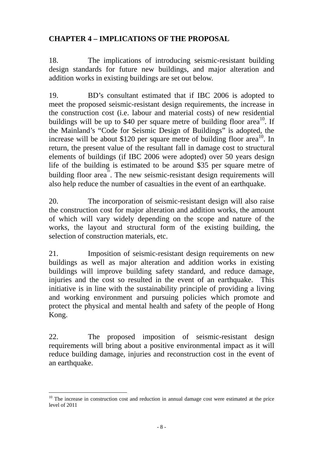## **CHAPTER 4 – IMPLICATIONS OF THE PROPOSAL**

18. The implications of introducing seismic-resistant building design standards for future new buildings, and major alteration and addition works in existing buildings are set out below.

19. BD's consultant estimated that if IBC 2006 is adopted to meet the proposed seismic-resistant design requirements, the increase in the construction cost (i.e. labour and material costs) of new residential buildings will be up to \$40 per square metre of building floor area<sup>10</sup>. If the Mainland's "Code for Seismic Design of Buildings" is adopted, the increase will be about \$120 per square metre of building floor  $area<sup>10</sup>$ . In return, the present value of the resultant fall in damage cost to structural elements of buildings (if IBC 2006 were adopted) over 50 years design life of the building is estimated to be around \$35 per square metre of building floor area<sup>1</sup>. The new seismic-resistant design requirements will also help reduce the number of casualties in the event of an earthquake.

20. The incorporation of seismic-resistant design will also raise the construction cost for major alteration and addition works, the amount of which will vary widely depending on the scope and nature of the works, the layout and structural form of the existing building, the selection of construction materials, etc.

21. Imposition of seismic-resistant design requirements on new buildings as well as major alteration and addition works in existing buildings will improve building safety standard, and reduce damage, injuries and the cost so resulted in the event of an earthquake. This initiative is in line with the sustainability principle of providing a living and working environment and pursuing policies which promote and protect the physical and mental health and safety of the people of Hong Kong.

22. The proposed imposition of seismic-resistant design requirements will bring about a positive environmental impact as it will reduce building damage, injuries and reconstruction cost in the event of an earthquake.

 $\overline{a}$  $10$  The increase in construction cost and reduction in annual damage cost were estimated at the price level of 2011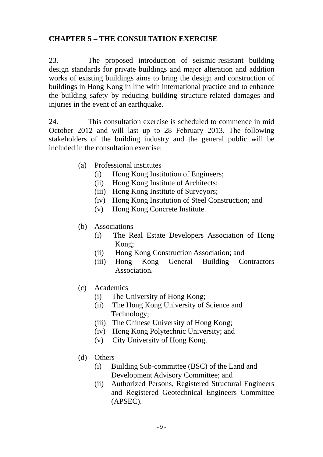## **CHAPTER 5 – THE CONSULTATION EXERCISE**

23. The proposed introduction of seismic-resistant building design standards for private buildings and major alteration and addition works of existing buildings aims to bring the design and construction of buildings in Hong Kong in line with international practice and to enhance the building safety by reducing building structure-related damages and injuries in the event of an earthquake.

24. This consultation exercise is scheduled to commence in mid October 2012 and will last up to 28 February 2013. The following stakeholders of the building industry and the general public will be included in the consultation exercise:

- (a) Professional institutes
	- (i) Hong Kong Institution of Engineers;
	- (ii) Hong Kong Institute of Architects;
	- (iii) Hong Kong Institute of Surveyors;
	- (iv) Hong Kong Institution of Steel Construction; and
	- (v) Hong Kong Concrete Institute.
- (b) Associations
	- (i) The Real Estate Developers Association of Hong Kong;
	- (ii) Hong Kong Construction Association; and
	- (iii) Hong Kong General Building Contractors Association.
- (c) Academics
	- (i) The University of Hong Kong;
	- (ii) The Hong Kong University of Science and Technology;
	- (iii) The Chinese University of Hong Kong;
	- (iv) Hong Kong Polytechnic University; and
	- (v) City University of Hong Kong.
- (d) Others
	- (i) Building Sub-committee (BSC) of the Land and Development Advisory Committee; and
	- (ii) Authorized Persons, Registered Structural Engineers and Registered Geotechnical Engineers Committee (APSEC).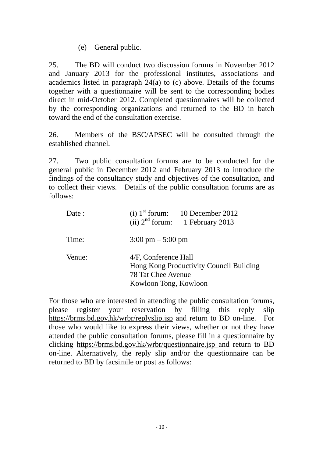(e) General public.

25. The BD will conduct two discussion forums in November 2012 and January 2013 for the professional institutes, associations and academics listed in paragraph 24(a) to (c) above. Details of the forums together with a questionnaire will be sent to the corresponding bodies direct in mid-October 2012. Completed questionnaires will be collected by the corresponding organizations and returned to the BD in batch toward the end of the consultation exercise.

26. Members of the BSC/APSEC will be consulted through the established channel.

27. Two public consultation forums are to be conducted for the general public in December 2012 and February 2013 to introduce the findings of the consultancy study and objectives of the consultation, and to collect their views. Details of the public consultation forums are as follows:

| Date : | (i) $1st$ forum: 10 December 2012<br>(ii) $2nd$ forum: 1 February 2013                                         |
|--------|----------------------------------------------------------------------------------------------------------------|
| Time:  | $3:00 \text{ pm} - 5:00 \text{ pm}$                                                                            |
| Venue: | 4/F, Conference Hall<br>Hong Kong Productivity Council Building<br>78 Tat Chee Avenue<br>Kowloon Tong, Kowloon |

For those who are interested in attending the public consultation forums, please register your reservation by filling this reply slip https://brms.bd.gov.hk/wrbr/replyslip.jsp and return to BD on-line. For those who would like to express their views, whether or not they have attended the public consultation forums, please fill in a questionnaire by clicking https://brms.bd.gov.hk/wrbr/questionnaire.jsp and return to BD on-line. Alternatively, the reply slip and/or the questionnaire can be returned to BD by facsimile or post as follows: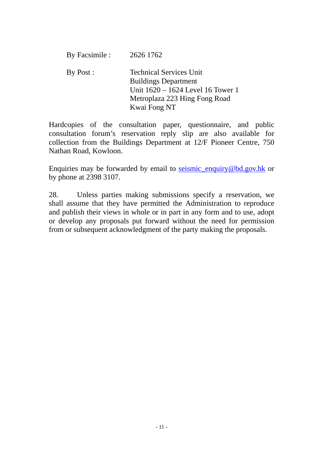| By Facsimile : | 2626 1762                                                                                                                                           |
|----------------|-----------------------------------------------------------------------------------------------------------------------------------------------------|
| By Post:       | <b>Technical Services Unit</b><br><b>Buildings Department</b><br>Unit 1620 – 1624 Level 16 Tower 1<br>Metroplaza 223 Hing Fong Road<br>Kwai Fong NT |

Hardcopies of the consultation paper, questionnaire, and public consultation forum's reservation reply slip are also available for collection from the Buildings Department at 12/F Pioneer Centre, 750 Nathan Road, Kowloon.

Enquiries may be forwarded by email to seismic\_enquiry@bd.gov.hk or by phone at 2398 3107.

28. Unless parties making submissions specify a reservation, we shall assume that they have permitted the Administration to reproduce and publish their views in whole or in part in any form and to use, adopt or develop any proposals put forward without the need for permission from or subsequent acknowledgment of the party making the proposals.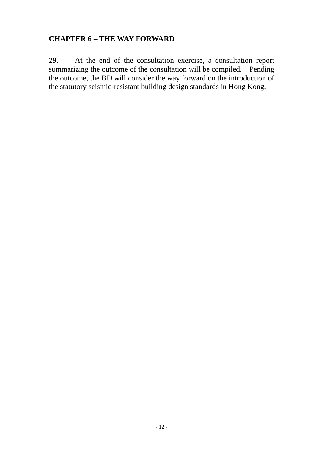### **CHAPTER 6 – THE WAY FORWARD**

29. At the end of the consultation exercise, a consultation report summarizing the outcome of the consultation will be compiled. Pending the outcome, the BD will consider the way forward on the introduction of the statutory seismic-resistant building design standards in Hong Kong.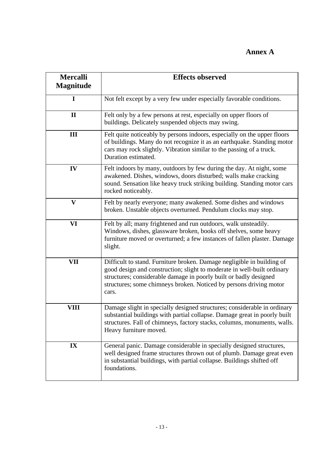## **Annex A**

| <b>Mercalli</b>  | <b>Effects observed</b>                                                                                                                                                                                                                                                                               |  |  |  |
|------------------|-------------------------------------------------------------------------------------------------------------------------------------------------------------------------------------------------------------------------------------------------------------------------------------------------------|--|--|--|
| <b>Magnitude</b> |                                                                                                                                                                                                                                                                                                       |  |  |  |
| $\mathbf I$      | Not felt except by a very few under especially favorable conditions.                                                                                                                                                                                                                                  |  |  |  |
| $\mathbf{I}$     | Felt only by a few persons at rest, especially on upper floors of<br>buildings. Delicately suspended objects may swing.                                                                                                                                                                               |  |  |  |
| III              | Felt quite noticeably by persons indoors, especially on the upper floors<br>of buildings. Many do not recognize it as an earthquake. Standing motor<br>cars may rock slightly. Vibration similar to the passing of a truck.<br>Duration estimated.                                                    |  |  |  |
| IV               | Felt indoors by many, outdoors by few during the day. At night, some<br>awakened. Dishes, windows, doors disturbed; walls make cracking<br>sound. Sensation like heavy truck striking building. Standing motor cars<br>rocked noticeably.                                                             |  |  |  |
| $\mathbf{V}$     | Felt by nearly everyone; many awakened. Some dishes and windows<br>broken. Unstable objects overturned. Pendulum clocks may stop.                                                                                                                                                                     |  |  |  |
| VI               | Felt by all; many frightened and run outdoors, walk unsteadily.<br>Windows, dishes, glassware broken, books off shelves, some heavy<br>furniture moved or overturned; a few instances of fallen plaster. Damage<br>slight.                                                                            |  |  |  |
| <b>VII</b>       | Difficult to stand. Furniture broken. Damage negligible in building of<br>good design and construction; slight to moderate in well-built ordinary<br>structures; considerable damage in poorly built or badly designed<br>structures; some chimneys broken. Noticed by persons driving motor<br>cars. |  |  |  |
| VIII             | Damage slight in specially designed structures; considerable in ordinary<br>substantial buildings with partial collapse. Damage great in poorly built<br>structures. Fall of chimneys, factory stacks, columns, monuments, walls.<br>Heavy furniture moved.                                           |  |  |  |
| $\mathbf{IX}$    | General panic. Damage considerable in specially designed structures,<br>well designed frame structures thrown out of plumb. Damage great even<br>in substantial buildings, with partial collapse. Buildings shifted off<br>foundations.                                                               |  |  |  |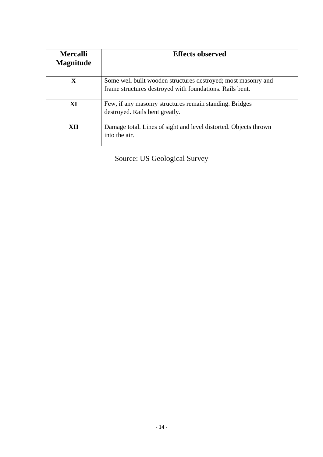| <b>Mercalli</b><br><b>Magnitude</b> | <b>Effects observed</b>                                                                                                   |
|-------------------------------------|---------------------------------------------------------------------------------------------------------------------------|
| X                                   | Some well built wooden structures destroyed; most masonry and<br>frame structures destroyed with foundations. Rails bent. |
| XI                                  | Few, if any masonry structures remain standing. Bridges<br>destroyed. Rails bent greatly.                                 |
| XII                                 | Damage total. Lines of sight and level distorted. Objects thrown<br>into the air.                                         |

Source: US Geological Survey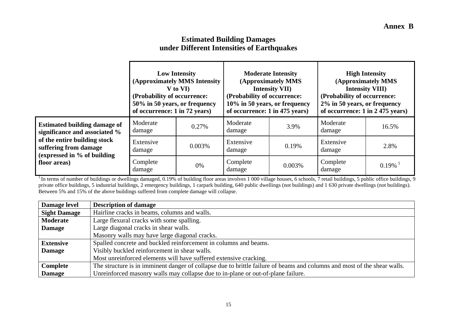#### **Estimated Building Damages under Different Intensities of Earthquakes**

|                                                                                      | <b>Low Intensity</b><br>(Approximately MMS Intensity<br>V to VI)<br>(Probability of occurrence:<br>50% in 50 years, or frequency<br>of occurrence: 1 in 72 years) |        | <b>Moderate Intensity</b><br>(Approximately MMS<br><b>Intensity VII)</b><br>(Probability of occurrence:<br>10% in 50 years, or frequency<br>of occurrence: 1 in 475 years) |        | <b>High Intensity</b><br>(Approximately MMS<br><b>Intensity VIII)</b><br>(Probability of occurrence:<br>2% in 50 years, or frequency<br>of occurrence: 1 in 2 475 years) |          |
|--------------------------------------------------------------------------------------|-------------------------------------------------------------------------------------------------------------------------------------------------------------------|--------|----------------------------------------------------------------------------------------------------------------------------------------------------------------------------|--------|--------------------------------------------------------------------------------------------------------------------------------------------------------------------------|----------|
| <b>Estimated building damage of</b><br>significance and associated %                 | Moderate<br>damage                                                                                                                                                | 0.27%  | Moderate<br>damage                                                                                                                                                         | 3.9%   | Moderate<br>damage                                                                                                                                                       | 16.5%    |
| of the entire building stock<br>suffering from damage<br>(expressed in % of building | Extensive<br>damage                                                                                                                                               | 0.003% | Extensive<br>damage                                                                                                                                                        | 0.19%  | Extensive<br>damage                                                                                                                                                      | 2.8%     |
| floor areas)                                                                         | Complete<br>damage                                                                                                                                                | 0%     | Complete<br>damage                                                                                                                                                         | 0.003% | Complete<br>damage                                                                                                                                                       | $0.19\%$ |

<sup>1</sup> In terms of number of buildings or dwellings damaged, 0.19% of building floor areas involves 1 000 village houses, 6 schools, 7 retail buildings, 5 public office buildings, 9 private office buildings, 5 industrial buildings, 2 emergency buildings, 1 carpark building, 640 public dwellings (not buildings) and 1 630 private dwellings (not buildings). Between 5% and 15% of the above buildings suffered from complete damage will collapse.

| Damage level        | <b>Description of damage</b>                                                                                             |
|---------------------|--------------------------------------------------------------------------------------------------------------------------|
| <b>Sight Damage</b> | Hairline cracks in beams, columns and walls.                                                                             |
| Moderate            | Large flexural cracks with some spalling.                                                                                |
| <b>Damage</b>       | Large diagonal cracks in shear walls.                                                                                    |
|                     | Masonry walls may have large diagonal cracks.                                                                            |
| <b>Extensive</b>    | Spalled concrete and buckled reinforcement in columns and beams.                                                         |
| <b>Damage</b>       | Visibly buckled reinforcement in shear walls.                                                                            |
|                     | Most unreinforced elements will have suffered extensive cracking.                                                        |
| Complete            | The structure is in imminent danger of collapse due to brittle failure of beams and columns and most of the shear walls. |
| <b>Damage</b>       | Unreinforced masonry walls may collapse due to in-plane or out-of-plane failure.                                         |